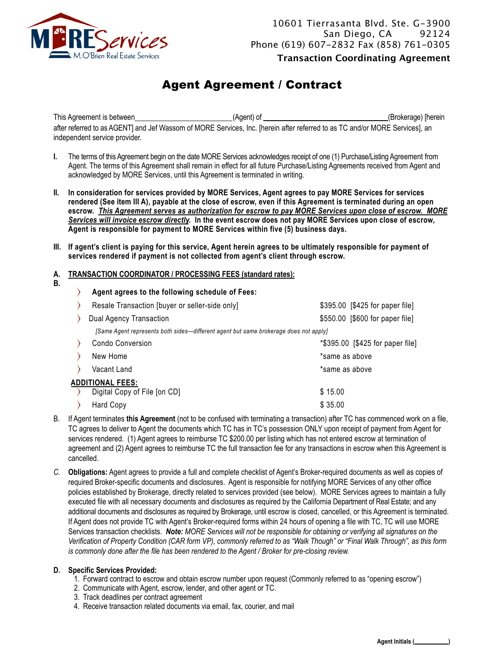

**B.**

## Agent Agreement / Contract

This Agreement is between(Agent) of (Brokerage) [herein after referred to as AGENT] and Jef Wassom of MORE Services, Inc. [herein after referred to as TC and/or MORE Services], an independent service provider.

- **I.** The terms of this Agreement begin on the date MORE Services acknowledges receipt of one (1) Purchase/Listing Agreement from Agent. The terms of this Agreement shall remain in effect for all future Purchase/Listing Agreements received from Agent and acknowledged by MORE Services, until this Agreement is terminated in writing.
- **II. In consideration for services provided by MORE Services, Agent agrees to pay MORE Services for services rendered (See item III A), payable at the close of escrow, even if this Agreement is terminated during an open escrow.** *This Agreement serves as authorization for escrow to pay MORE Services upon close of escrow. MORE Services will invoice escrow directly.* **In the event escrow does not pay MORE Services upon close of escrow, Agent is responsible for payment to MORE Services within five (5) business days.**
- **III. If agent's client is paying for this service, Agent herein agrees to be ultimately responsible for payment of services rendered if payment is not collected from agent's client through escrow.**

## **A. TRANSACTION COORDINATOR / PROCESSING FEES (standard rates):**

| Agent agrees to the following schedule of Fees:                                      |                                  |  |  |  |  |
|--------------------------------------------------------------------------------------|----------------------------------|--|--|--|--|
| Resale Transaction [buyer or seller-side only]                                       | \$395.00 [\$425 for paper file]  |  |  |  |  |
| Dual Agency Transaction                                                              | \$550.00 [\$600 for paper file]  |  |  |  |  |
| [Same Agent represents both sides—different agent but same brokerage does not apply] |                                  |  |  |  |  |
| Condo Conversion                                                                     | *\$395.00 [\$425 for paper file] |  |  |  |  |
| New Home                                                                             | *same as above                   |  |  |  |  |
| Vacant Land                                                                          | *same as above                   |  |  |  |  |
| ADDITIONAL FEES:                                                                     |                                  |  |  |  |  |
| Digital Copy of File [on CD]                                                         | \$15.00                          |  |  |  |  |
| Hard Copy                                                                            | \$35.00                          |  |  |  |  |

- B. If Agent terminates **this Agreement** (not to be confused with terminating a transaction) after TC has commenced work on a file, TC agrees to deliver to Agent the documents which TC has in TC's possession ONLY upon receipt of payment from Agent for services rendered. (1) Agent agrees to reimburse TC \$200.00 per listing which has not entered escrow at termination of agreement and (2) Agent agrees to reimburse TC the full transaction fee for any transactions in escrow when this Agreement is cancelled.
- *C.* **Obligations:** Agent agrees to provide a full and complete checklist of Agent's Broker-required documents as well as copies of required Broker-specific documents and disclosures. Agent is responsible for notifying MORE Services of any other office policies established by Brokerage, directly related to services provided (see below). MORE Services agrees to maintain a fully executed file with all necessary documents and disclosures as required by the California Department of Real Estate; and any additional documents and disclosures as required by Brokerage, until escrow is closed, cancelled, or this Agreement is terminated. If Agent does not provide TC with Agent's Broker-required forms within 24 hours of opening a file with TC, TC will use MORE Services transaction checklists. *Note: MORE Services will not be responsible for obtaining or verifying all signatures on the Verification of Property Condition (CAR form VP), commonly referred to as "Walk Though" or "Final Walk Through", as this form is commonly done after the file has been rendered to the Agent / Broker for pre-closing review.*

## **D. Specific Services Provided:**

- 1. Forward contract to escrow and obtain escrow number upon request (Commonly referred to as "opening escrow")
- 2. Communicate with Agent, escrow, lender, and other agent or TC.
- 3. Track deadlines per contract agreement
- 4. Receive transaction related documents via email, fax, courier, and mail